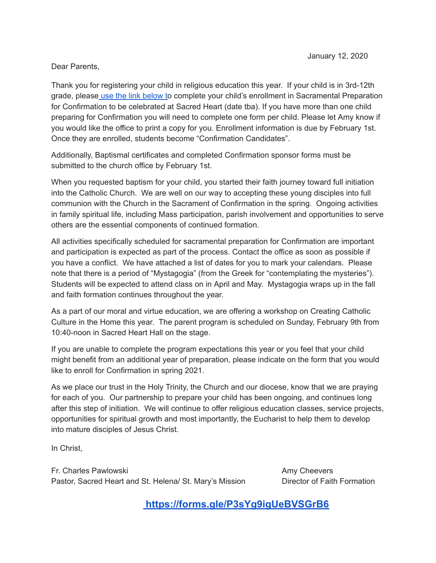# Dear Parents,

Thank you for registering your child in religious education this year. If your child is in 3rd-12th grade, please use the link [below](https://forms.gle/P3sYg9igUeBVSGrB6) to complete your child's enrollment in Sacramental Preparation for Confirmation to be celebrated at Sacred Heart (date tba). If you have more than one child preparing for Confirmation you will need to complete one form per child. Please let Amy know if you would like the office to print a copy for you. Enrollment information is due by February 1st. Once they are enrolled, students become "Confirmation Candidates".

Additionally, Baptismal certificates and completed Confirmation sponsor forms must be submitted to the church office by February 1st.

When you requested baptism for your child, you started their faith journey toward full initiation into the Catholic Church. We are well on our way to accepting these young disciples into full communion with the Church in the Sacrament of Confirmation in the spring. Ongoing activities in family spiritual life, including Mass participation, parish involvement and opportunities to serve others are the essential components of continued formation.

All activities specifically scheduled for sacramental preparation for Confirmation are important and participation is expected as part of the process. Contact the office as soon as possible if you have a conflict. We have attached a list of dates for you to mark your calendars. Please note that there is a period of "Mystagogia" (from the Greek for "contemplating the mysteries"). Students will be expected to attend class on in April and May. Mystagogia wraps up in the fall and faith formation continues throughout the year.

As a part of our moral and virtue education, we are offering a workshop on Creating Catholic Culture in the Home this year. The parent program is scheduled on Sunday, February 9th from 10:40-noon in Sacred Heart Hall on the stage.

If you are unable to complete the program expectations this year or you feel that your child might benefit from an additional year of preparation, please indicate on the form that you would like to enroll for Confirmation in spring 2021.

As we place our trust in the Holy Trinity, the Church and our diocese, know that we are praying for each of you. Our partnership to prepare your child has been ongoing, and continues long after this step of initiation. We will continue to offer religious education classes, service projects, opportunities for spiritual growth and most importantly, the Eucharist to help them to develop into mature disciples of Jesus Christ.

In Christ,

Fr. Charles Pawlowski **Amy Cheevers Amy Cheevers** Pastor, Sacred Heart and St. Helena/ St. Mary's Mission Director of Faith Formation

**<https://forms.gle/P3sYg9igUeBVSGrB6>**